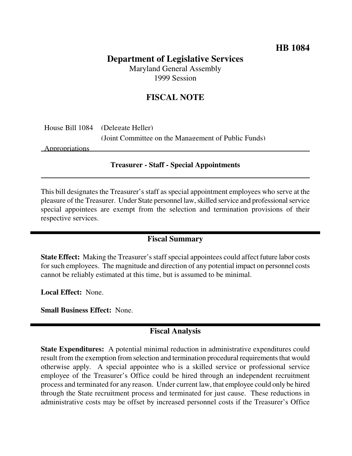# **HB 1084**

## **Department of Legislative Services** Maryland General Assembly 1999 Session

# **FISCAL NOTE**

|                       | House Bill 1084 (Delegate Heller)                   |
|-----------------------|-----------------------------------------------------|
|                       | (Joint Committee on the Management of Public Funds) |
| <b>Appropriations</b> |                                                     |

#### **Treasurer - Staff - Special Appointments**

This bill designates the Treasurer's staff as special appointment employees who serve at the pleasure of the Treasurer. Under State personnel law,skilled service and professionalservice special appointees are exempt from the selection and termination provisions of their respective services.

### **Fiscal Summary**

**State Effect:** Making the Treasurer's staff special appointees could affect future labor costs for such employees. The magnitude and direction of any potential impact on personnel costs cannot be reliably estimated at this time, but is assumed to be minimal.

**Local Effect:** None.

**Small Business Effect:** None.

### **Fiscal Analysis**

**State Expenditures:** A potential minimal reduction in administrative expenditures could result from the exemption from selection and termination procedural requirements that would otherwise apply. A special appointee who is a skilled service or professional service employee of the Treasurer's Office could be hired through an independent recruitment process and terminated for any reason. Under current law, that employee could only be hired through the State recruitment process and terminated for just cause. These reductions in administrative costs may be offset by increased personnel costs if the Treasurer's Office